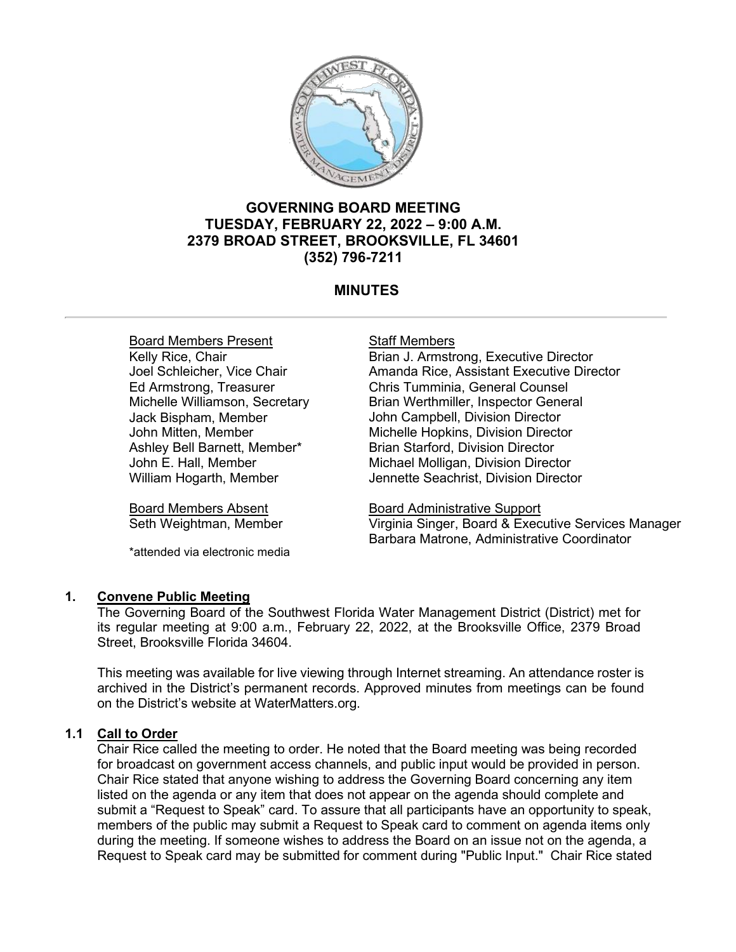

# **GOVERNING BOARD MEETING TUESDAY, FEBRUARY 22, 2022 – 9:00 A.M. 2379 BROAD STREET, BROOKSVILLE, FL 34601 (352) 796-7211**

# **MINUTES**

Board Members Present Kelly Rice, Chair Joel Schleicher, Vice Chair Ed Armstrong, Treasurer Michelle Williamson, Secretary Jack Bispham, Member John Mitten, Member Ashley Bell Barnett, Member\* John E. Hall, Member William Hogarth, Member

Board Members Absent Seth Weightman, Member

\*attended via electronic media

# Staff Members

Brian J. Armstrong, Executive Director Amanda Rice, Assistant Executive Director Chris Tumminia, General Counsel Brian Werthmiller, Inspector General John Campbell, Division Director Michelle Hopkins, Division Director Brian Starford, Division Director Michael Molligan, Division Director Jennette Seachrist, Division Director

Board Administrative Support Virginia Singer, Board & Executive Services Manager Barbara Matrone, Administrative Coordinator

# **1. Convene Public Meeting**

The Governing Board of the Southwest Florida Water Management District (District) met for its regular meeting at 9:00 a.m., February 22, 2022, at the Brooksville Office, 2379 Broad Street, Brooksville Florida 34604.

This meeting was available for live viewing through Internet streaming. An attendance roster is archived in the District's permanent records. Approved minutes from meetings can be found on the District's website at WaterMatters.org.

# **1.1 Call to Order**

Chair Rice called the meeting to order. He noted that the Board meeting was being recorded for broadcast on government access channels, and public input would be provided in person. Chair Rice stated that anyone wishing to address the Governing Board concerning any item listed on the agenda or any item that does not appear on the agenda should complete and submit a "Request to Speak" card. To assure that all participants have an opportunity to speak, members of the public may submit a Request to Speak card to comment on agenda items only during the meeting. If someone wishes to address the Board on an issue not on the agenda, a Request to Speak card may be submitted for comment during "Public Input." Chair Rice stated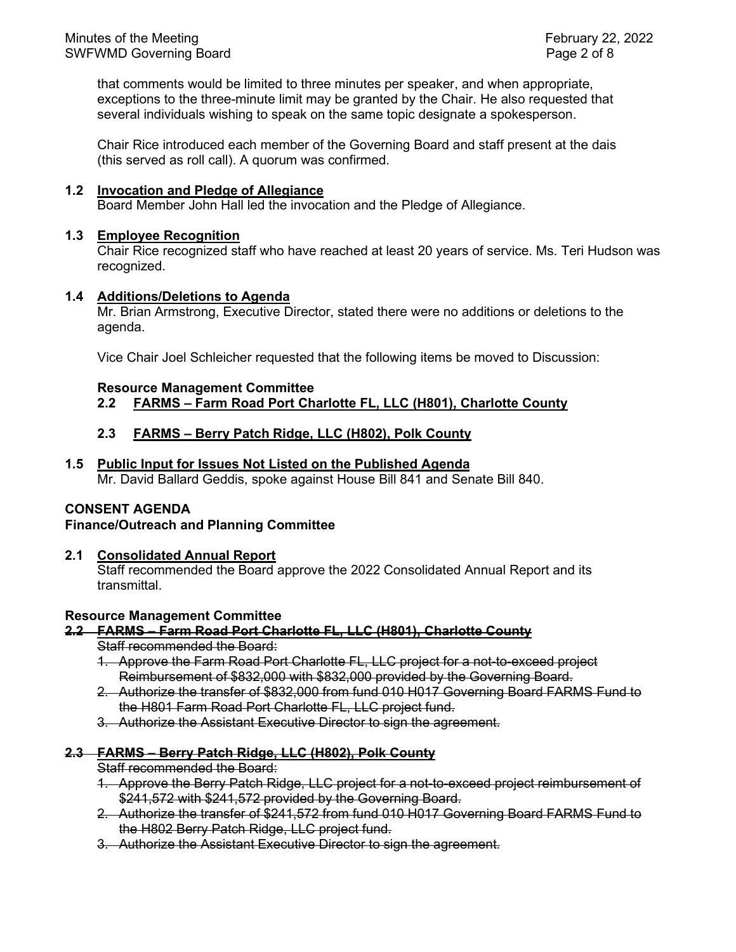that comments would be limited to three minutes per speaker, and when appropriate, exceptions to the three-minute limit may be granted by the Chair. He also requested that several individuals wishing to speak on the same topic designate a spokesperson.

Chair Rice introduced each member of the Governing Board and staff present at the dais (this served as roll call). A quorum was confirmed.

# **1.2 Invocation and Pledge of Allegiance**

Board Member John Hall led the invocation and the Pledge of Allegiance.

# **1.3 Employee Recognition**

Chair Rice recognized staff who have reached at least 20 years of service. Ms. Teri Hudson was recognized.

# **1.4 Additions/Deletions to Agenda**

Mr. Brian Armstrong, Executive Director, stated there were no additions or deletions to the agenda.

Vice Chair Joel Schleicher requested that the following items be moved to Discussion:

#### **Resource Management Committee**

# **2.2 FARMS – Farm Road Port Charlotte FL, LLC (H801), Charlotte County**

# **2.3 FARMS – Berry Patch Ridge, LLC (H802), Polk County**

#### **1.5 Public Input for Issues Not Listed on the Published Agenda**

Mr. David Ballard Geddis, spoke against House Bill 841 and Senate Bill 840.

#### **CONSENT AGENDA**

# **Finance/Outreach and Planning Committee**

# **2.1 Consolidated Annual Report**

Staff recommended the Board approve the 2022 Consolidated Annual Report and its transmittal.

#### **Resource Management Committee**

# **2.2 FARMS – Farm Road Port Charlotte FL, LLC (H801), Charlotte County**

- Staff recommended the Board:
- 1. Approve the Farm Road Port Charlotte FL, LLC project for a not-to-exceed project Reimbursement of \$832,000 with \$832,000 provided by the Governing Board.
- 2. Authorize the transfer of \$832,000 from fund 010 H017 Governing Board FARMS Fund to the H801 Farm Road Port Charlotte FL, LLC project fund.
- 3. Authorize the Assistant Executive Director to sign the agreement.

#### **2.3 FARMS – Berry Patch Ridge, LLC (H802), Polk County**

Staff recommended the Board:

- 1. Approve the Berry Patch Ridge, LLC project for a not-to-exceed project reimbursement of \$241,572 with \$241,572 provided by the Governing Board.
- 2. Authorize the transfer of \$241,572 from fund 010 H017 Governing Board FARMS Fund to the H802 Berry Patch Ridge, LLC project fund.
- 3. Authorize the Assistant Executive Director to sign the agreement.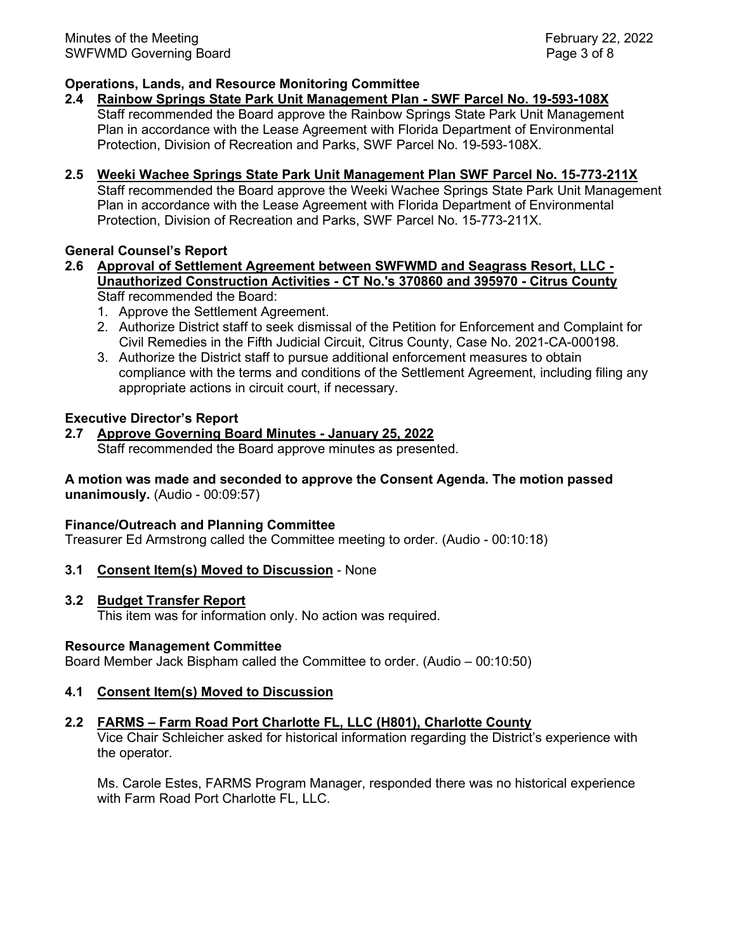# **Operations, Lands, and Resource Monitoring Committee**

# **2.4 Rainbow Springs State Park Unit Management Plan - SWF Parcel No. 19-593-108X**

Staff recommended the Board approve the Rainbow Springs State Park Unit Management Plan in accordance with the Lease Agreement with Florida Department of Environmental Protection, Division of Recreation and Parks, SWF Parcel No. 19-593-108X.

# **2.5 Weeki Wachee Springs State Park Unit Management Plan SWF Parcel No. 15-773-211X**

Staff recommended the Board approve the Weeki Wachee Springs State Park Unit Management Plan in accordance with the Lease Agreement with Florida Department of Environmental Protection, Division of Recreation and Parks, SWF Parcel No. 15-773-211X.

# **General Counsel's Report**

#### **2.6 Approval of Settlement Agreement between SWFWMD and Seagrass Resort, LLC - Unauthorized Construction Activities - CT No.'s 370860 and 395970 - Citrus County** Staff recommended the Board:

- 1. Approve the Settlement Agreement.
- 2. Authorize District staff to seek dismissal of the Petition for Enforcement and Complaint for Civil Remedies in the Fifth Judicial Circuit, Citrus County, Case No. 2021-CA-000198.
- 3. Authorize the District staff to pursue additional enforcement measures to obtain compliance with the terms and conditions of the Settlement Agreement, including filing any appropriate actions in circuit court, if necessary.

# **Executive Director's Report**

# **2.7 Approve Governing Board Minutes - January 25, 2022** Staff recommended the Board approve minutes as presented.

# **A motion was made and seconded to approve the Consent Agenda. The motion passed unanimously.** (Audio - 00:09:57)

# **Finance/Outreach and Planning Committee**

Treasurer Ed Armstrong called the Committee meeting to order. (Audio - 00:10:18)

**3.1 Consent Item(s) Moved to Discussion** - None

# **3.2 Budget Transfer Report**

This item was for information only. No action was required.

# **Resource Management Committee**

Board Member Jack Bispham called the Committee to order. (Audio – 00:10:50)

# **4.1 Consent Item(s) Moved to Discussion**

# **2.2 FARMS – Farm Road Port Charlotte FL, LLC (H801), Charlotte County**

Vice Chair Schleicher asked for historical information regarding the District's experience with the operator.

Ms. Carole Estes, FARMS Program Manager, responded there was no historical experience with Farm Road Port Charlotte FL, LLC.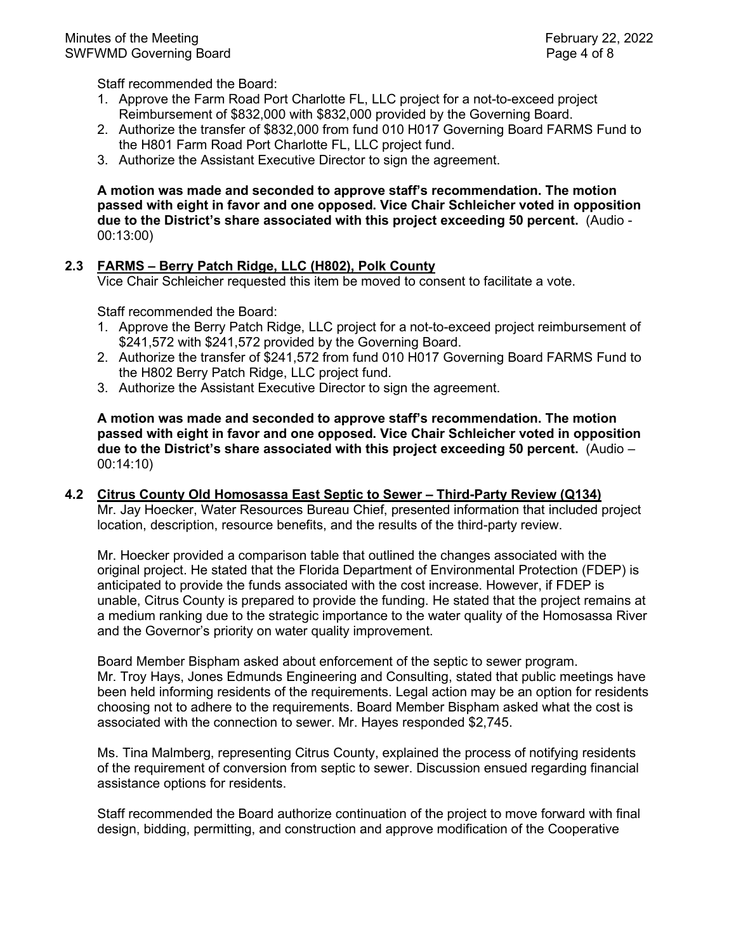Staff recommended the Board:

- 1. Approve the Farm Road Port Charlotte FL, LLC project for a not-to-exceed project Reimbursement of \$832,000 with \$832,000 provided by the Governing Board.
- 2. Authorize the transfer of \$832,000 from fund 010 H017 Governing Board FARMS Fund to the H801 Farm Road Port Charlotte FL, LLC project fund.
- 3. Authorize the Assistant Executive Director to sign the agreement.

**A motion was made and seconded to approve staff's recommendation. The motion passed with eight in favor and one opposed. Vice Chair Schleicher voted in opposition due to the District's share associated with this project exceeding 50 percent.** (Audio - 00:13:00)

# **2.3 FARMS – Berry Patch Ridge, LLC (H802), Polk County**

Vice Chair Schleicher requested this item be moved to consent to facilitate a vote.

Staff recommended the Board:

- 1. Approve the Berry Patch Ridge, LLC project for a not-to-exceed project reimbursement of \$241,572 with \$241,572 provided by the Governing Board.
- 2. Authorize the transfer of \$241,572 from fund 010 H017 Governing Board FARMS Fund to the H802 Berry Patch Ridge, LLC project fund.
- 3. Authorize the Assistant Executive Director to sign the agreement.

**A motion was made and seconded to approve staff's recommendation. The motion passed with eight in favor and one opposed. Vice Chair Schleicher voted in opposition due to the District's share associated with this project exceeding 50 percent.** (Audio – 00:14:10)

# **4.2 Citrus County Old Homosassa East Septic to Sewer – Third-Party Review (Q134)** Mr. Jay Hoecker, Water Resources Bureau Chief, presented information that included project location, description, resource benefits, and the results of the third-party review.

Mr. Hoecker provided a comparison table that outlined the changes associated with the original project. He stated that the Florida Department of Environmental Protection (FDEP) is anticipated to provide the funds associated with the cost increase. However, if FDEP is unable, Citrus County is prepared to provide the funding. He stated that the project remains at a medium ranking due to the strategic importance to the water quality of the Homosassa River and the Governor's priority on water quality improvement.

Board Member Bispham asked about enforcement of the septic to sewer program. Mr. Troy Hays, Jones Edmunds Engineering and Consulting, stated that public meetings have been held informing residents of the requirements. Legal action may be an option for residents choosing not to adhere to the requirements. Board Member Bispham asked what the cost is associated with the connection to sewer. Mr. Hayes responded \$2,745.

Ms. Tina Malmberg, representing Citrus County, explained the process of notifying residents of the requirement of conversion from septic to sewer. Discussion ensued regarding financial assistance options for residents.

Staff recommended the Board authorize continuation of the project to move forward with final design, bidding, permitting, and construction and approve modification of the Cooperative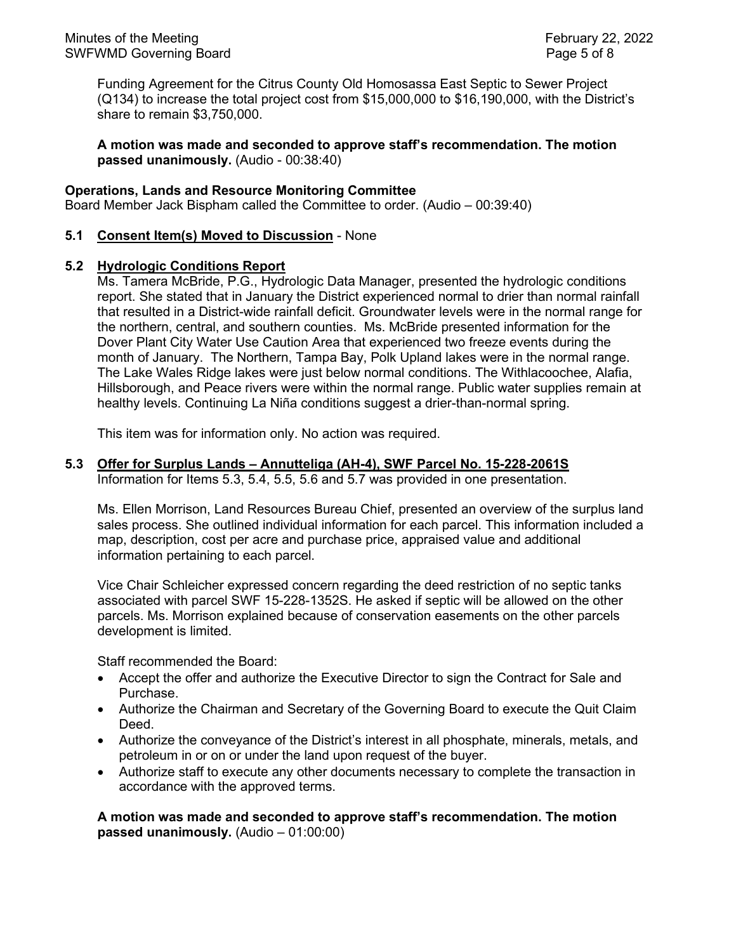Funding Agreement for the Citrus County Old Homosassa East Septic to Sewer Project (Q134) to increase the total project cost from \$15,000,000 to \$16,190,000, with the District's share to remain \$3,750,000.

**A motion was made and seconded to approve staff's recommendation. The motion passed unanimously.** (Audio - 00:38:40)

# **Operations, Lands and Resource Monitoring Committee**

Board Member Jack Bispham called the Committee to order. (Audio – 00:39:40)

# **5.1 Consent Item(s) Moved to Discussion** - None

#### **5.2 Hydrologic Conditions Report**

Ms. Tamera McBride, P.G., Hydrologic Data Manager, presented the hydrologic conditions report. She stated that in January the District experienced normal to drier than normal rainfall that resulted in a District-wide rainfall deficit. Groundwater levels were in the normal range for the northern, central, and southern counties. Ms. McBride presented information for the Dover Plant City Water Use Caution Area that experienced two freeze events during the month of January. The Northern, Tampa Bay, Polk Upland lakes were in the normal range. The Lake Wales Ridge lakes were just below normal conditions. The Withlacoochee, Alafia, Hillsborough, and Peace rivers were within the normal range. Public water supplies remain at healthy levels. Continuing La Niña conditions suggest a drier-than-normal spring.

This item was for information only. No action was required.

#### **5.3 Offer for Surplus Lands – Annutteliga (AH-4), SWF Parcel No. 15-228-2061S**

Information for Items 5.3, 5.4, 5.5, 5.6 and 5.7 was provided in one presentation.

Ms. Ellen Morrison, Land Resources Bureau Chief, presented an overview of the surplus land sales process. She outlined individual information for each parcel. This information included a map, description, cost per acre and purchase price, appraised value and additional information pertaining to each parcel.

Vice Chair Schleicher expressed concern regarding the deed restriction of no septic tanks associated with parcel SWF 15-228-1352S. He asked if septic will be allowed on the other parcels. Ms. Morrison explained because of conservation easements on the other parcels development is limited.

Staff recommended the Board:

- Accept the offer and authorize the Executive Director to sign the Contract for Sale and Purchase.
- Authorize the Chairman and Secretary of the Governing Board to execute the Quit Claim Deed.
- Authorize the conveyance of the District's interest in all phosphate, minerals, metals, and petroleum in or on or under the land upon request of the buyer.
- Authorize staff to execute any other documents necessary to complete the transaction in accordance with the approved terms.

**A motion was made and seconded to approve staff's recommendation. The motion passed unanimously.** (Audio – 01:00:00)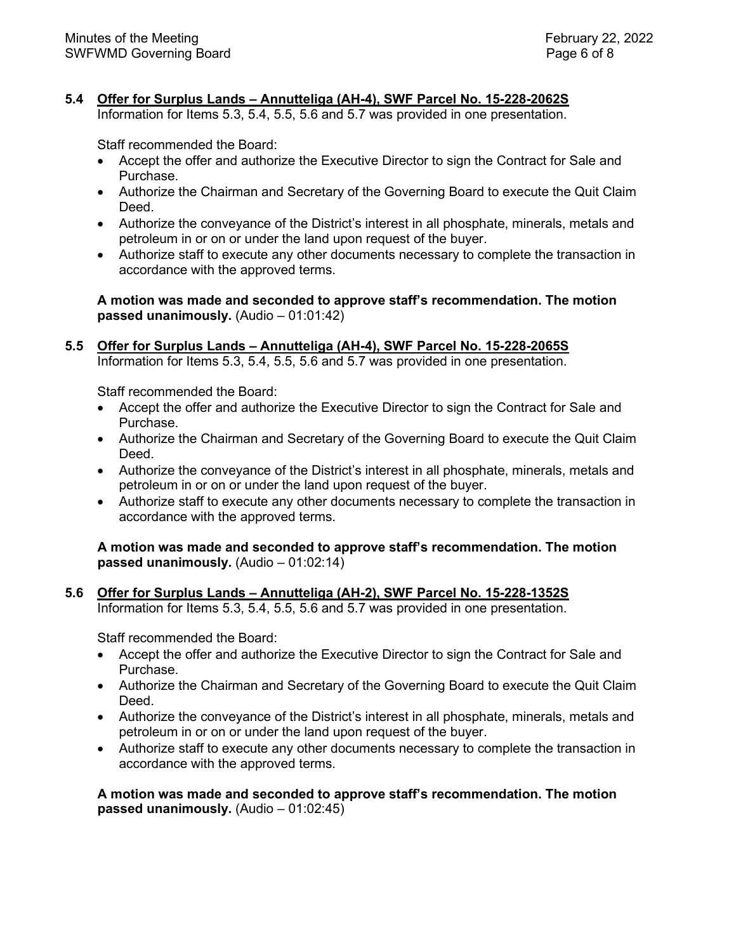# **5.4 Offer for Surplus Lands – Annutteliga (AH-4), SWF Parcel No. 15-228-2062S**

Information for Items 5.3, 5.4, 5.5, 5.6 and 5.7 was provided in one presentation.

Staff recommended the Board:

- Accept the offer and authorize the Executive Director to sign the Contract for Sale and Purchase.
- Authorize the Chairman and Secretary of the Governing Board to execute the Quit Claim Deed.
- Authorize the conveyance of the District's interest in all phosphate, minerals, metals and petroleum in or on or under the land upon request of the buyer.
- Authorize staff to execute any other documents necessary to complete the transaction in accordance with the approved terms.

**A motion was made and seconded to approve staff's recommendation. The motion passed unanimously.** (Audio – 01:01:42)

# **5.5 Offer for Surplus Lands – Annutteliga (AH-4), SWF Parcel No. 15-228-2065S** Information for Items 5.3, 5.4, 5.5, 5.6 and 5.7 was provided in one presentation.

Staff recommended the Board:

- Accept the offer and authorize the Executive Director to sign the Contract for Sale and Purchase.
- Authorize the Chairman and Secretary of the Governing Board to execute the Quit Claim Deed.
- Authorize the conveyance of the District's interest in all phosphate, minerals, metals and petroleum in or on or under the land upon request of the buyer.
- Authorize staff to execute any other documents necessary to complete the transaction in accordance with the approved terms.

**A motion was made and seconded to approve staff's recommendation. The motion passed unanimously.** (Audio – 01:02:14)

**5.6 Offer for Surplus Lands – Annutteliga (AH-2), SWF Parcel No. 15-228-1352S** Information for Items 5.3, 5.4, 5.5, 5.6 and 5.7 was provided in one presentation.

Staff recommended the Board:

- Accept the offer and authorize the Executive Director to sign the Contract for Sale and Purchase.
- Authorize the Chairman and Secretary of the Governing Board to execute the Quit Claim Deed.
- Authorize the conveyance of the District's interest in all phosphate, minerals, metals and petroleum in or on or under the land upon request of the buyer.
- Authorize staff to execute any other documents necessary to complete the transaction in accordance with the approved terms.

**A motion was made and seconded to approve staff's recommendation. The motion passed unanimously.** (Audio – 01:02:45)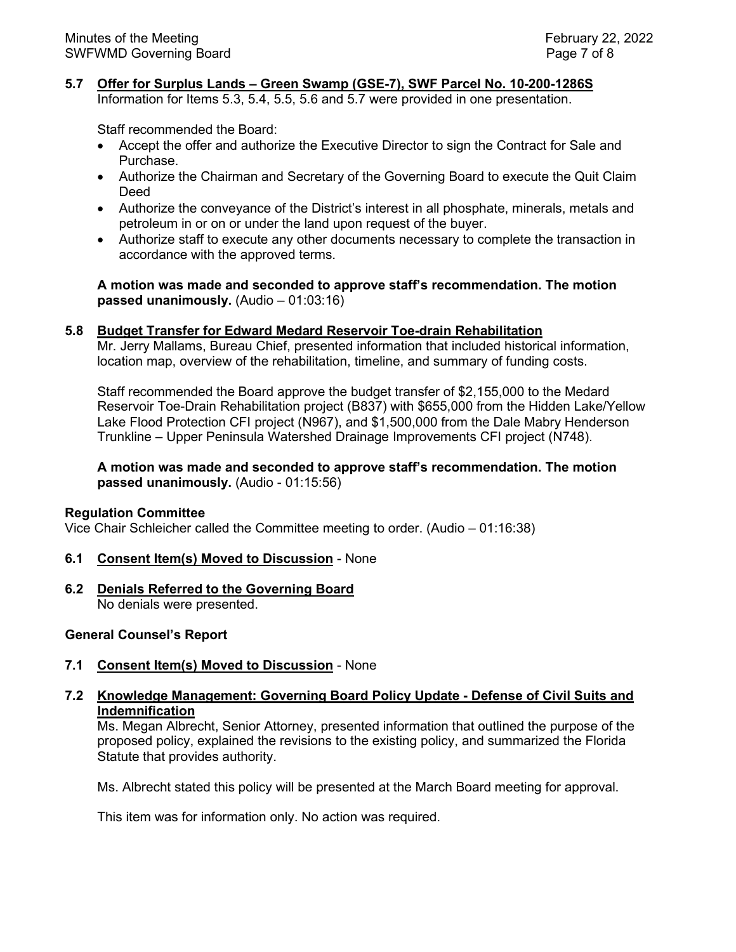# **5.7 Offer for Surplus Lands – Green Swamp (GSE-7), SWF Parcel No. 10-200-1286S**

Information for Items 5.3, 5.4, 5.5, 5.6 and 5.7 were provided in one presentation.

Staff recommended the Board:

- Accept the offer and authorize the Executive Director to sign the Contract for Sale and Purchase.
- Authorize the Chairman and Secretary of the Governing Board to execute the Quit Claim Deed
- Authorize the conveyance of the District's interest in all phosphate, minerals, metals and petroleum in or on or under the land upon request of the buyer.
- Authorize staff to execute any other documents necessary to complete the transaction in accordance with the approved terms.

**A motion was made and seconded to approve staff's recommendation. The motion passed unanimously.** (Audio – 01:03:16)

#### **5.8 Budget Transfer for Edward Medard Reservoir Toe-drain Rehabilitation**

Mr. Jerry Mallams, Bureau Chief, presented information that included historical information, location map, overview of the rehabilitation, timeline, and summary of funding costs.

Staff recommended the Board approve the budget transfer of \$2,155,000 to the Medard Reservoir Toe-Drain Rehabilitation project (B837) with \$655,000 from the Hidden Lake/Yellow Lake Flood Protection CFI project (N967), and \$1,500,000 from the Dale Mabry Henderson Trunkline – Upper Peninsula Watershed Drainage Improvements CFI project (N748).

#### **A motion was made and seconded to approve staff's recommendation. The motion passed unanimously.** (Audio - 01:15:56)

#### **Regulation Committee**

Vice Chair Schleicher called the Committee meeting to order. (Audio – 01:16:38)

#### **6.1 Consent Item(s) Moved to Discussion** - None

**6.2 Denials Referred to the Governing Board** No denials were presented.

#### **General Counsel's Report**

**7.1 Consent Item(s) Moved to Discussion** - None

# **7.2 Knowledge Management: Governing Board Policy Update - Defense of Civil Suits and Indemnification**

Ms. Megan Albrecht, Senior Attorney, presented information that outlined the purpose of the proposed policy, explained the revisions to the existing policy, and summarized the Florida Statute that provides authority.

Ms. Albrecht stated this policy will be presented at the March Board meeting for approval.

This item was for information only. No action was required.